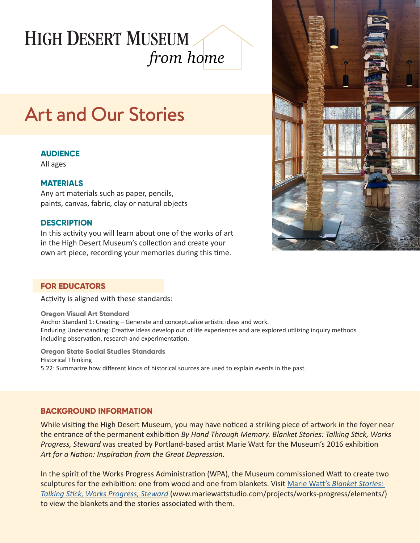## **HIGH DESERT MUSEUM** *from home*

# Art and Our Stories

## **AUDIENCE**

All ages

### **MATERIALS**

Any art materials such as paper, pencils, paints, canvas, fabric, clay or natural objects

#### **DESCRIPTION**

In this activity you will learn about one of the works of art in the High Desert Museum's collection and create your own art piece, recording your memories during this time.

#### **FOR EDUCATORS**

Activity is aligned with these standards:

**Oregon Visual Art Standard** Anchor Standard 1: Creating – Generate and conceptualize artistic ideas and work. Enduring Understanding: Creative ideas develop out of life experiences and are explored utilizing inquiry methods including observation, research and experimentation.

**Oregon State Social Studies Standards** Historical Thinking 5.22: Summarize how different kinds of historical sources are used to explain events in the past.

## **BACKGROUND INFORMATION**

While visiting the High Desert Museum, you may have noticed a striking piece of artwork in the foyer near the entrance of the permanent exhibition *By Hand Through Memory. Blanket Stories: Talking Stick, Works Progress, Steward* was created by Portland-based artist Marie Watt for the Museum's 2016 exhibition *Art for a Nation: Inspiration from the Great Depression.*

In the spirit of the Works Progress Administration (WPA), the Museum commissioned Watt to create two sculptures for the exhibition: one from wood and one from blankets. Visit Marie Watt's *[Blanket Stories:](http://www.mariewattstudio.com/projects/works-progress/elements/)  [Talking Stick, Works Progress, Steward](http://www.mariewattstudio.com/projects/works-progress/elements/)* (www.mariewattstudio.com/projects/works-progress/elements/) to view the blankets and the stories associated with them.

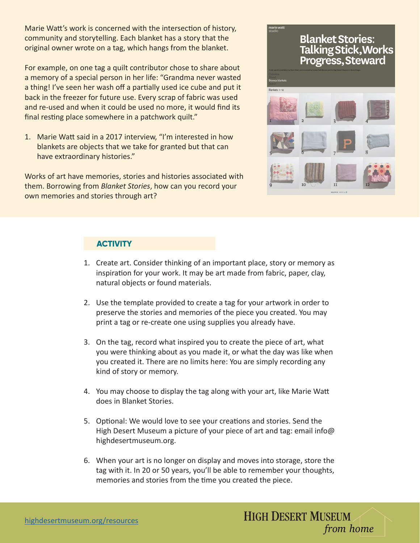Marie Watt's work is concerned with the intersection of history, community and storytelling. Each blanket has a story that the original owner wrote on a tag, which hangs from the blanket.

For example, on one tag a quilt contributor chose to share about a memory of a special person in her life: "Grandma never wasted a thing! I've seen her wash off a partially used ice cube and put it back in the freezer for future use. Every scrap of fabric was used and re-used and when it could be used no more, it would find its final resting place somewhere in a patchwork quilt."

1. Marie Watt said in a 2017 interview, "I'm interested in how blankets are objects that we take for granted but that can have extraordinary histories."

Works of art have memories, stories and histories associated with them. Borrowing from *Blanket Stories*, how can you record your own memories and stories through art?



## **ACTIVITY**

- 1. Create art. Consider thinking of an important place, story or memory as inspiration for your work. It may be art made from fabric, paper, clay, natural objects or found materials.
- 2. Use the template provided to create a tag for your artwork in order to preserve the stories and memories of the piece you created. You may print a tag or re-create one using supplies you already have.
- 3. On the tag, record what inspired you to create the piece of art, what you were thinking about as you made it, or what the day was like when you created it. There are no limits here: You are simply recording any kind of story or memory.
- 4. You may choose to display the tag along with your art, like Marie Watt does in Blanket Stories.
- 5. Optional: We would love to see your creations and stories. Send the High Desert Museum a picture of your piece of art and tag: email info@ highdesertmuseum.org.
- 6. When your art is no longer on display and moves into storage, store the tag with it. In 20 or 50 years, you'll be able to remember your thoughts, memories and stories from the time you created the piece.